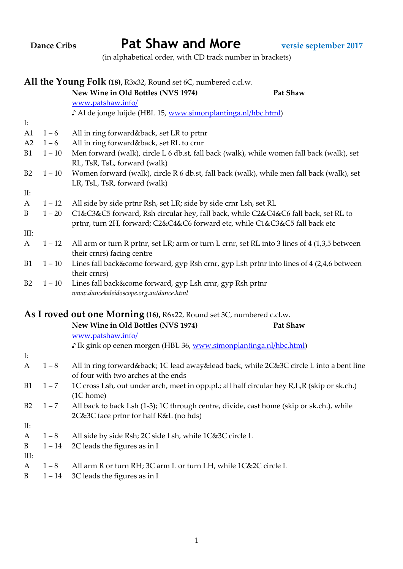| <b>Dance Cribs</b> |                                                                | <b>Pat Shaw and More</b><br>versie september 2017                                                                                                                 |  |  |  |
|--------------------|----------------------------------------------------------------|-------------------------------------------------------------------------------------------------------------------------------------------------------------------|--|--|--|
|                    |                                                                | (in alphabetical order, with CD track number in brackets)                                                                                                         |  |  |  |
|                    | All the Young Folk (18), R3x32, Round set 6C, numbered c.cl.w. |                                                                                                                                                                   |  |  |  |
|                    |                                                                | New Wine in Old Bottles (NVS 1974)<br>Pat Shaw                                                                                                                    |  |  |  |
|                    |                                                                | www.patshaw.info/                                                                                                                                                 |  |  |  |
|                    |                                                                | J Al de jonge luijde (HBL 15, www.simonplantinga.nl/hbc.html)                                                                                                     |  |  |  |
| $\mathbf{I}$ :     |                                                                |                                                                                                                                                                   |  |  |  |
| A1                 | $1 - 6$                                                        | All in ring forward&back, set LR to prtnr                                                                                                                         |  |  |  |
| A2                 | $1 - 6$                                                        | All in ring forward&back, set RL to crnr                                                                                                                          |  |  |  |
| B <sub>1</sub>     | $1 - 10$                                                       | Men forward (walk), circle L 6 db.st, fall back (walk), while women fall back (walk), set                                                                         |  |  |  |
|                    |                                                                | RL, TsR, TsL, forward (walk)                                                                                                                                      |  |  |  |
| B2                 | $1 - 10$                                                       | Women forward (walk), circle R 6 db.st, fall back (walk), while men fall back (walk), set                                                                         |  |  |  |
|                    |                                                                | LR, TsL, TsR, forward (walk)                                                                                                                                      |  |  |  |
| II:                |                                                                |                                                                                                                                                                   |  |  |  |
| $\mathbf{A}$       | $1 - 12$                                                       | All side by side prtnr Rsh, set LR; side by side crnr Lsh, set RL                                                                                                 |  |  |  |
| B                  | $1 - 20$                                                       | C1&C3&C5 forward, Rsh circular hey, fall back, while C2&C4&C6 fall back, set RL to<br>prtnr, turn 2H, forward; C2&C4&C6 forward etc, while C1&C3&C5 fall back etc |  |  |  |
| III:               |                                                                |                                                                                                                                                                   |  |  |  |
| A                  | $1 - 12$                                                       | All arm or turn R prtnr, set LR; arm or turn L crnr, set RL into 3 lines of 4 (1,3,5 between<br>their crnrs) facing centre                                        |  |  |  |
| B <sub>1</sub>     | $1 - 10$                                                       | Lines fall back&come forward, gyp Rsh crnr, gyp Lsh prtnr into lines of 4 (2,4,6 between<br>their crnrs)                                                          |  |  |  |
| B2                 | $1 - 10$                                                       | Lines fall back&come forward, gyp Lsh crnr, gyp Rsh prtnr<br>www.dancekaleidoscope.org.au/dance.html                                                              |  |  |  |
|                    |                                                                | As I roved out one Morning (16), R6x22, Round set 3C, numbered c.cl.w.                                                                                            |  |  |  |
|                    |                                                                | New Wine in Old Bottles (NVS 1974)<br>Pat Shaw                                                                                                                    |  |  |  |
|                    |                                                                | www.patshaw.info/                                                                                                                                                 |  |  |  |
|                    |                                                                | If Ik gink op eenen morgen (HBL 36, www.simonplantinga.nl/hbc.html)                                                                                               |  |  |  |
| $\mathbf{I}:$      |                                                                |                                                                                                                                                                   |  |  |  |
| A                  | $1 - 8$                                                        | All in ring forward&back 1C lead away&lead back, while 2C&3C circle L into a bent line<br>of four with two arches at the ends                                     |  |  |  |
| B <sub>1</sub>     | $1 - 7$                                                        | 1C cross Lsh, out under arch, meet in opp.pl.; all half circular hey R,L,R (skip or sk.ch.)<br>(1C home)                                                          |  |  |  |
| B2                 | $1 - 7$                                                        | All back to back Lsh (1-3); 1C through centre, divide, cast home (skip or sk.ch.), while                                                                          |  |  |  |
|                    |                                                                | 2C&3C face prtnr for half R&L (no hds)                                                                                                                            |  |  |  |
| II:                |                                                                |                                                                                                                                                                   |  |  |  |
| A                  | $1 - 8$                                                        | All side by side Rsh; 2C side Lsh, while 1C&3C circle L                                                                                                           |  |  |  |
| B                  | $1 - 14$                                                       | 2C leads the figures as in I                                                                                                                                      |  |  |  |
| III:               |                                                                |                                                                                                                                                                   |  |  |  |
| A                  | $1 - 8$                                                        | All arm R or turn RH; 3C arm L or turn LH, while 1C&2C circle L                                                                                                   |  |  |  |
| B                  | $1 - 14$                                                       | 3C leads the figures as in I                                                                                                                                      |  |  |  |

1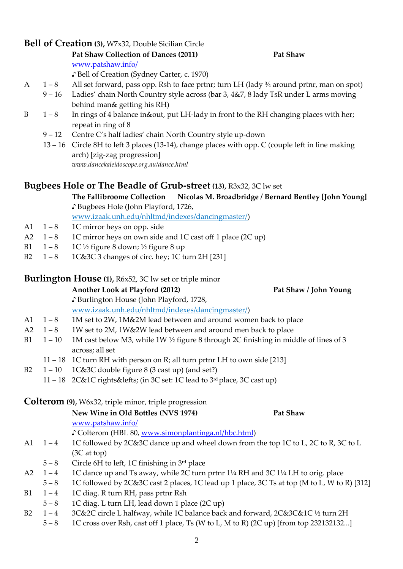## **Bell of Creation (3),** W7x32, Double Sicilian Circle

#### **Pat Shaw Collection of Dances (2011) Pat Shaw**

[www.patshaw.info/](http://www.patshaw.info/)

♪ Bell of Creation (Sydney Carter, c. 1970)

- A 1 8 All set forward, pass opp. Rsh to face prtnr; turn LH (lady ¾ around prtnr, man on spot)
	- 9 16 Ladies' chain North Country style across (bar 3, 4&7, 8 lady TsR under L arms moving behind man& getting his RH)
- B  $1-8$  In rings of 4 balance in&out, put LH-lady in front to the RH changing places with her; repeat in ring of 8
	- 9 12 Centre C's half ladies' chain North Country style up-down
	- 13 16 Circle 8H to left 3 places (13-14), change places with opp. C (couple left in line making arch) [zig-zag progression] *[www.dancekaleidoscope.org.au/dance.html](http://www.dancekaleidoscope.org.au/dance.html)*

## **Bugbees Hole or The Beadle of Grub-street (13),** R3x32, 3C lw set

**The Fallibroome Collection Nicolas M. Broadbridge / Bernard Bentley [John Young]** ♪ Bugbees Hole (John Playford, 1726,

www.izaak.unh.edu/nhltmd/indexes/dancingmaster/)

- A1  $1 8$  1C mirror heys on opp. side
- A2  $1 8$  1C mirror heys on own side and 1C cast off 1 place (2C up)
- B1  $1-8$  1C ½ figure 8 down; ½ figure 8 up
- B2  $1-8$  1C&3C 3 changes of circ. hey; 1C turn 2H [231]

## **Burlington House (1),** R6x52, 3C lw set or triple minor

**Another Look at Playford (2012) Pat Shaw / John Young**

♪ Burlington House (John Playford, 1728, www.izaak.unh.edu/nhltmd/indexes/dancingmaster/)

- A1 1 8 1M set to 2W, 1M&2M lead between and around women back to place
- A2 1 8 1W set to 2M, 1W&2W lead between and around men back to place
- B1  $1 10$  1M cast below M3, while 1W  $\frac{1}{2}$  figure 8 through 2C finishing in middle of lines of 3 across; all set
	- 11 18 1C turn RH with person on R; all turn prtnr LH to own side [213]
- B2  $1 10$   $1C&3C$  double figure 8 (3 cast up) (and set?)
	- 11 18 2C&1C rights&lefts; (in 3C set: 1C lead to 3rd place, 3C cast up)

## **Colterom (9),** W6x32, triple minor, triple progression

|           |            | New Wine in Old Bottles (NVS 1974)                                                          | <b>Pat Shaw</b> |  |
|-----------|------------|---------------------------------------------------------------------------------------------|-----------------|--|
|           |            | www.patshaw.info/                                                                           |                 |  |
|           |            | Colterom (HBL 80, www.simonplantinga.nl/hbc.html)                                           |                 |  |
| A1        | $1 - 4$    | 1C followed by 2C&3C dance up and wheel down from the top 1C to L, 2C to R, 3C to L         |                 |  |
|           |            | $(3C \text{ at top})$                                                                       |                 |  |
|           | $5 - 8$    | Circle 6H to left, 1C finishing in $3rd$ place                                              |                 |  |
|           | $A2 \t1-4$ | 1C dance up and Ts away, while 2C turn prtnr 1¼ RH and 3C 1¼ LH to orig. place              |                 |  |
|           | $5 - 8$    | 1C followed by 2C&3C cast 2 places, 1C lead up 1 place, 3C Ts at top (M to L, W to R) [312] |                 |  |
| <b>B1</b> | $1 - 4$    | 1C diag. R turn RH, pass prtnr Rsh                                                          |                 |  |

- $5 8$  1C diag. L turn LH, lead down 1 place (2C up)
- B2 1 4 3C&2C circle L halfway, while 1C balance back and forward,  $2C&3C&1C \frac{1}{2}$  turn 2H
	- 5 8 1C cross over Rsh, cast off 1 place, Ts (W to L, M to R) (2C up) [from top 232132132...]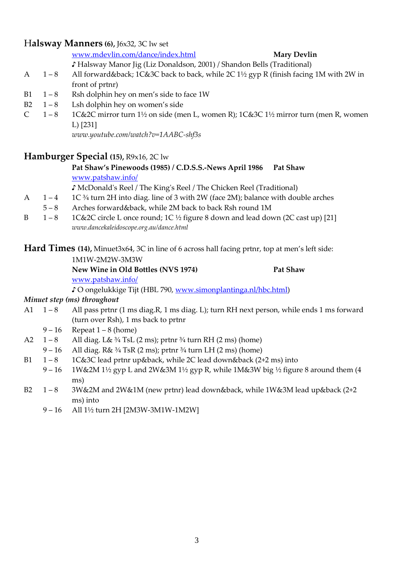## H**alsway Manners (6),** J6x32, 3C lw set

### [www.mdevlin.com/dance/index.html](http://www.mdevlin.com/dance/index.html) **Mary Devlin**

♪ Halsway Manor Jig (Liz Donaldson, 2001) / Shandon Bells (Traditional)

- A  $1-8$  All forward&back; 1C&3C back to back, while 2C 1½ gyp R (finish facing 1M with 2W in front of prtnr)
- B1  $1 8$  Rsh dolphin hey on men's side to face 1W
- B2  $1-8$  Lsh dolphin hey on women's side
- C  $1-8$  1C&2C mirror turn 1<sup>1</sup>/<sub>2</sub> on side (men L, women R); 1C&3C 1<sup>1</sup>/<sub>2</sub> mirror turn (men R, women L) [231]

*www.youtube.com/watch?v=1AABC-shf3s*

## **Hamburger Special (15),** R9x16, 2C lw

### **Pat Shaw's Pinewoods (1985) / C.D.S.S.-News April 1986 Pat Shaw**  [www.patshaw.info/](http://www.patshaw.info/)

♪ McDonald's Reel / The King's Reel / The Chicken Reel (Traditional)

- A  $1 4$  1C  $\frac{3}{4}$  turn 2H into diag. line of 3 with 2W (face 2M); balance with double arches
- 5 8 Arches forward&back, while 2M back to back Rsh round 1M
- B 1 8 1C&2C circle L once round; 1C  $\frac{1}{2}$  figure 8 down and lead down (2C cast up) [21] *[www.dancekaleidoscope.org.au/dance.html](http://www.dancekaleidoscope.org.au/dance.html)*

**Hard Times (14),** Minuet3x64, 3C in line of 6 across hall facing prtnr, top at men's left side:

### 1M1W-2M2W-3M3W

**New Wine in Old Bottles (NVS 1974) Pat Shaw** [www.patshaw.info/](http://www.patshaw.info/)

♪ O ongelukkige Tijt (HBL 790, [www.simonplantinga.nl/hbc.html\)](http://www.simonplantinga.nl/hbc.html)

### *Minuet step (ms) throughout*

- A1 1 8 All pass prtnr (1 ms diag.R, 1 ms diag. L); turn RH next person, while ends 1 ms forward (turn over Rsh), 1 ms back to prtnr
	- $9 16$  Repeat  $1 8$  (home)
- A2  $1-8$  All diag. L&  $\frac{3}{4}$  TsL (2 ms); prtnr  $\frac{3}{4}$  turn RH (2 ms) (home)
- 9 16 All diag. R&  $\frac{3}{4}$  TsR (2 ms); prtnr  $\frac{3}{4}$  turn LH (2 ms) (home)
- B1  $1 8$  1C&3C lead prtnr up&back, while 2C lead down&back (2+2 ms) into
	- 9 16 1W&2M 1½ gyp L and 2W&3M 1½ gyp R, while 1M&3W big 1⁄2 figure 8 around them (4 ms)
- B2 1 8 3W&2M and 2W&1M (new prtnr) lead down&back, while 1W&3M lead up&back (2+2 ms) into
	- 9 16 All 1½ turn 2H [2M3W-3M1W-1M2W]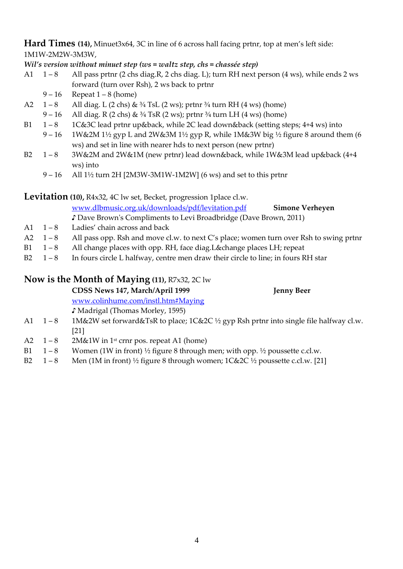**Hard Times (14),** Minuet3x64, 3C in line of 6 across hall facing prtnr, top at men's left side: 1M1W-2M2W-3M3W,

*Wil's version without minuet step (ws = waltz step, chs = chassée step)*

- A1 1 8 All pass prtnr (2 chs diag.R, 2 chs diag. L); turn RH next person (4 ws), while ends 2 ws forward (turn over Rsh), 2 ws back to prtnr
	- $9 16$  Repeat  $1 8$  (home)
- A2  $1-8$  All diag. L (2 chs) &  $\frac{3}{4}$  TsL (2 ws); prtnr  $\frac{3}{4}$  turn RH (4 ws) (home)
- 9 16 All diag. R (2 chs) &  $\frac{3}{4}$  TsR (2 ws); prtnr  $\frac{3}{4}$  turn LH (4 ws) (home)
- B1  $1-8$  1C&3C lead prtnr up&back, while 2C lead down&back (setting steps; 4+4 ws) into
	- 9 16 1W&2M 1½ gyp L and 2W&3M 1½ gyp R, while 1M&3W big 1⁄2 figure 8 around them (6 ws) and set in line with nearer hds to next person (new prtnr)
- B2 1 8 3W&2M and 2W&1M (new prtnr) lead down&back, while 1W&3M lead up&back (4+4 ws) into
	- $9 16$  All  $1\frac{1}{2}$  turn 2H [2M3W-3M1W-1M2W] (6 ws) and set to this prtnr

**Levitation (10),** R4x32, 4C lw set, Becket, progression 1place cl.w.

[www.dlbmusic.org.uk/downloads/pdf/levitation.pdf](http://www.dlbmusic.org.uk/downloads/pdf/levitation.pdf) **Simone Verheyen**

♪ Dave Brown's Compliments to Levi Broadbridge (Dave Brown, 2011)

- A1  $1 8$  Ladies' chain across and back
- A2 1 8 All pass opp. Rsh and move cl.w. to next C's place; women turn over Rsh to swing prtnr
- B1  $1-8$  All change places with opp. RH, face diag. L&change places LH; repeat
- B2  $1-8$  In fours circle L halfway, centre men draw their circle to line; in fours RH star

## **Now is the Month of Maying (11),** R7x32, 2C lw

|                | CDSS News 147, March/April 1999                                                                  | <b>Jenny Beer</b> |
|----------------|--------------------------------------------------------------------------------------------------|-------------------|
|                | www.colinhume.com/instl.htm#Maying                                                               |                   |
|                | Madrigal (Thomas Morley, 1595)                                                                   |                   |
| A1 1-8         | 1M&2W set forward&TsR to place; $1C&2C \frac{1}{2}$ gyp Rsh prtnr into single file halfway cl.w. |                   |
|                | [21]                                                                                             |                   |
| $A2 \quad 1-8$ | $2M\&1W$ in 1 <sup>st</sup> crnr pos. repeat A1 (home)                                           |                   |
|                |                                                                                                  |                   |

- B1  $1-8$  Women (1W in front)  $\frac{1}{2}$  figure 8 through men; with opp.  $\frac{1}{2}$  poussette c.cl.w.
- B2  $1-8$  Men (1M in front)  $\frac{1}{2}$  figure 8 through women;  $1C\&2C \frac{1}{2}$  poussette c.cl.w. [21]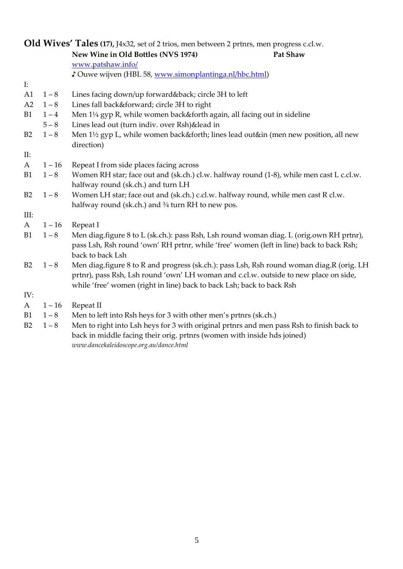| Old Wives' Tales (17), J4x32, set of 2 trios, men between 2 prtnrs, men progress c.cl.w. |          |                                                                                                                                                                                    |  |
|------------------------------------------------------------------------------------------|----------|------------------------------------------------------------------------------------------------------------------------------------------------------------------------------------|--|
|                                                                                          |          | New Wine in Old Bottles (NVS 1974)<br>Pat Shaw                                                                                                                                     |  |
|                                                                                          |          | www.patshaw.info/                                                                                                                                                                  |  |
|                                                                                          |          | Cuwe wijven (HBL 58, www.simonplantinga.nl/hbc.html)                                                                                                                               |  |
| $\mathbf{I}$ :                                                                           |          |                                                                                                                                                                                    |  |
| A1                                                                                       | $1 - 8$  | Lines facing down/up forward&back circle 3H to left                                                                                                                                |  |
| A2                                                                                       | $1 - 8$  | Lines fall back&forward circle 3H to right                                                                                                                                         |  |
| <b>B1</b>                                                                                | $1 - 4$  | Men 1¼ gyp R, while women back&forth again, all facing out in sideline                                                                                                             |  |
|                                                                                          | $5 - 8$  | Lines lead out (turn indiv. over Rsh)&lead in                                                                                                                                      |  |
| B2                                                                                       | $1 - 8$  | Men 1½ gyp L, while women back&forth lines lead out∈ (men new position, all new<br>direction)                                                                                      |  |
| II:                                                                                      |          |                                                                                                                                                                                    |  |
| A                                                                                        | $1 - 16$ | Repeat I from side places facing across                                                                                                                                            |  |
| B <sub>1</sub>                                                                           | $1 - 8$  | Women RH star; face out and (sk.ch.) cl.w. halfway round (1-8), while men cast L c.cl.w.                                                                                           |  |
|                                                                                          |          | halfway round (sk.ch.) and turn LH                                                                                                                                                 |  |
| B2                                                                                       | $1 - 8$  | Women LH star; face out and (sk.ch.) c.cl.w. halfway round, while men cast R cl.w.                                                                                                 |  |
|                                                                                          |          | halfway round (sk.ch.) and 3/4 turn RH to new pos.                                                                                                                                 |  |
| III:                                                                                     |          |                                                                                                                                                                                    |  |
| A                                                                                        | $1 - 16$ | Repeat I                                                                                                                                                                           |  |
| B <sub>1</sub>                                                                           | $1 - 8$  | Men diag.figure 8 to L (sk.ch.): pass Rsh, Lsh round woman diag. L (orig.own RH prtnr),<br>pass Lsh, Rsh round 'own' RH prtnr, while 'free' women (left in line) back to back Rsh; |  |
|                                                                                          |          | back to back Lsh                                                                                                                                                                   |  |
| B <sub>2</sub>                                                                           | $1 - 8$  | Men diag.figure 8 to R and progress (sk.ch.): pass Lsh, Rsh round woman diag.R (orig. LH                                                                                           |  |
|                                                                                          |          | prtnr), pass Rsh, Lsh round 'own' LH woman and c.cl.w. outside to new place on side,                                                                                               |  |
|                                                                                          |          | while 'free' women (right in line) back to back Lsh; back to back Rsh                                                                                                              |  |
| IV:                                                                                      |          |                                                                                                                                                                                    |  |
| A                                                                                        | $1 - 16$ | Repeat II                                                                                                                                                                          |  |
| B <sub>1</sub>                                                                           | $1 - 8$  | Men to left into Rsh heys for 3 with other men's prtnrs (sk.ch.)                                                                                                                   |  |
| B2                                                                                       | $1 - 8$  | Men to right into Lsh heys for 3 with original prtnrs and men pass Rsh to finish back to<br>back in middle facing their orig. prtnrs (women with inside hds joined)                |  |

*[www.dancekaleidoscope.org.au/dance.html](http://www.dancekaleidoscope.org.au/dance.html)*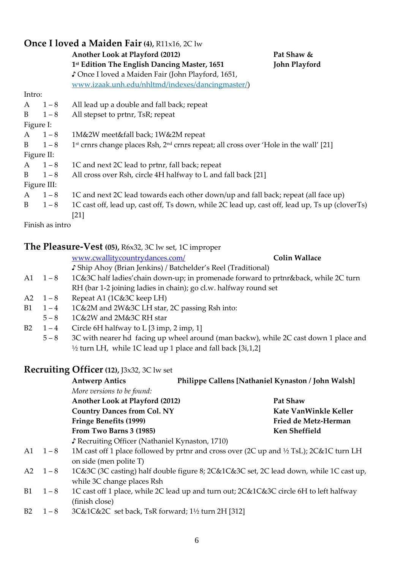| Once I loved a Maiden Fair (4), $R11x16$ , $2C1w$ |               |                                                                                                        |                      |  |
|---------------------------------------------------|---------------|--------------------------------------------------------------------------------------------------------|----------------------|--|
|                                                   |               | Another Look at Playford (2012)                                                                        | Pat Shaw &           |  |
|                                                   |               | 1st Edition The English Dancing Master, 1651                                                           | <b>John Playford</b> |  |
|                                                   |               | ♪ Once I loved a Maiden Fair (John Playford, 1651,                                                     |                      |  |
|                                                   |               | www.izaak.unh.edu/nhltmd/indexes/dancingmaster/)                                                       |                      |  |
| Intro:                                            |               |                                                                                                        |                      |  |
|                                                   | $A \quad 1-8$ | All lead up a double and fall back; repeat                                                             |                      |  |
| B                                                 | $1 - 8$       | All stepset to prtnr, TsR; repeat                                                                      |                      |  |
| Figure I:                                         |               |                                                                                                        |                      |  |
|                                                   | $A \quad 1-8$ | 1M&2W meet&fall back; 1W&2M repeat                                                                     |                      |  |
|                                                   | $B \t1-8$     | 1st crnrs change places Rsh, 2 <sup>nd</sup> crnrs repeat; all cross over 'Hole in the wall' [21]      |                      |  |
|                                                   | Figure II:    |                                                                                                        |                      |  |
| A                                                 | $1 - 8$       | 1C and next 2C lead to prtnr, fall back; repeat                                                        |                      |  |
| B                                                 | $1 - 8$       | All cross over Rsh, circle 4H halfway to L and fall back [21]                                          |                      |  |
|                                                   | Figure III:   |                                                                                                        |                      |  |
| $\mathsf{A}$                                      | $1 - 8$       | 1C and next 2C lead towards each other down/up and fall back; repeat (all face up)                     |                      |  |
| B                                                 | $1 - 8$       | 1C cast off, lead up, cast off, Ts down, while 2C lead up, cast off, lead up, Ts up (cloverTs)<br>[21] |                      |  |

Finish as intro

### **The Pleasure-Vest (05),** R6x32, 3C lw set, 1C improper

[www.cwallitycountrydances.com/](http://www.cwallitycountrydances.com/) **Colin Wallace**

♪ Ship Ahoy (Brian Jenkins) / Batchelder's Reel (Traditional)

- A1 1 8 1C&3C half ladies' chain down-up; in promenade forward to prtnr&back, while 2C turn RH (bar 1-2 joining ladies in chain); go cl.w. halfway round set
- A2  $1-8$  Repeat A1 (1C&3C keep LH)
- B1  $1 4$  1 C&2M and 2W&3C LH star, 2C passing Rsh into:
- 5 8 1C&2W and 2M&3C RH star
- B2  $1-4$  Circle 6H halfway to L [3 imp, 2 imp, 1]
	- 5 8 3C with nearer hd facing up wheel around (man backw), while 2C cast down 1 place and ½ turn LH, while 1C lead up 1 place and fall back [3i,1,2]

## **Recruiting Officer(12),** J3x32, 3C lw set

|      |                | <b>Antwerp Antics</b>                                                                                             | Philippe Callens [Nathaniel Kynaston / John Walsh] |                                                                                        |
|------|----------------|-------------------------------------------------------------------------------------------------------------------|----------------------------------------------------|----------------------------------------------------------------------------------------|
|      |                | More versions to be found:                                                                                        |                                                    |                                                                                        |
|      |                | Another Look at Playford (2012)                                                                                   |                                                    | <b>Pat Shaw</b>                                                                        |
|      |                | <b>Country Dances from Col. NY</b>                                                                                |                                                    | Kate VanWinkle Keller                                                                  |
|      |                | Fringe Benefits (1999)                                                                                            |                                                    | Fried de Metz-Herman                                                                   |
|      |                | From Two Barns 3 (1985)                                                                                           |                                                    | Ken Sheffield                                                                          |
|      |                | ↓ Recruiting Officer (Nathaniel Kynaston, 1710)                                                                   |                                                    |                                                                                        |
|      | $A1 \quad 1-8$ | 1M cast off 1 place followed by prtnr and cross over (2C up and 1/2 TsL); 2C&1C turn LH<br>on side (men polite T) |                                                    |                                                                                        |
|      | $A2 \quad 1-8$ | while 3C change places Rsh                                                                                        |                                                    | 1C&3C (3C casting) half double figure 8; 2C&1C&3C set, 2C lead down, while 1C cast up, |
| B1   | $1 - 8$        | 1C cast off 1 place, while 2C lead up and turn out; 2C&1C&3C circle 6H to left halfway<br>(finish close)          |                                                    |                                                                                        |
| – רת | 1 O            |                                                                                                                   |                                                    |                                                                                        |

B2 1 – 8 3C&1C&2C set back, TsR forward; 1½ turn 2H [312]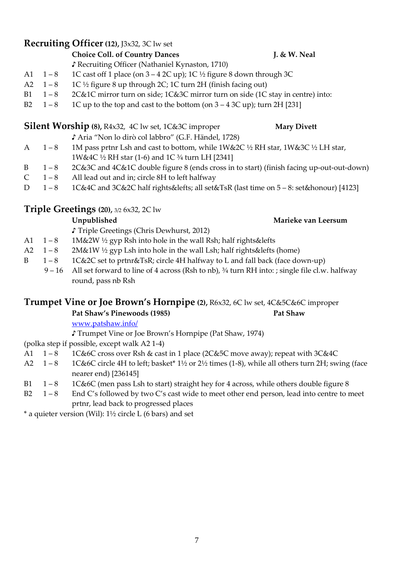## **Recruiting Officer(12),** J3x32, 3C lw set

**Choice Coll. of Country Dances J. & W. Neal**

♪ Recruiting Officer (Nathaniel Kynaston, 1710)

- A1  $1 8$  1C cast off 1 place (on  $3 4$  2C up); 1C  $\frac{1}{2}$  figure 8 down through 3C
- A2  $1 8$  1C ½ figure 8 up through 2C; 1C turn 2H (finish facing out)
- B1 1 8 2C&1C mirror turn on side; 1C&3C mirror turn on side (1C stay in centre) into:
- B2  $1-8$  1C up to the top and cast to the bottom (on  $3-43C$  up); turn 2H [231]

# **Silent Worship** (8), R4x32, 4C lw set, 1C&3C improper **Mary Divett** ♪ Aria "Non lo dirò col labbro" (G.F. Händel, 1728)

- A 1 8 1M pass prtnr Lsh and cast to bottom, while 1W&2C 1/2 RH star, 1W&3C 1/2 LH star, 1W&4C ½ RH star (1-6) and 1C ¾ turn LH [2341]
- B 1 8 2C&3C and 4C&1C double figure 8 (ends cross in to start) (finish facing up-out-out-down)
- C  $1-8$  All lead out and in; circle 8H to left halfway
- D 1 8 1C&4C and 3C&2C half rights&lefts; all set&TsR (last time on 5 8: set&honour) [4123]

## **Triple Greetings (20),** 3/2 6x32, 2C lw

♪ Triple Greetings (Chris Dewhurst, 2012)

- A1  $1-8$  1M&2W ½ gyp Rsh into hole in the wall Rsh; half rights&lefts
- A2  $1-8$  2M&1W ½ gyp Lsh into hole in the wall Lsh; half rights&lefts (home)
- B 1 8 1 C&2C set to prtnr&TsR; circle 4H halfway to L and fall back (face down-up)
	- 9 16 All set forward to line of 4 across (Rsh to nb), ¾ turn RH into: ; single file cl.w. halfway round, pass nb Rsh

## **Trumpet Vine or Joe Brown's Hornpipe (2),** R6x32, 6C lw set, 4C&5C&6C improper

**Pat Shaw's Pinewoods (1985) Pat Shaw**

[www.patshaw.info/](http://www.patshaw.info/)

♪ Trumpet Vine or Joe Brown's Hornpipe (Pat Shaw, 1974)

(polka step if possible, except walk A2 1-4)

- A1  $1-8$  1C&6C cross over Rsh & cast in 1 place (2C&5C move away); repeat with 3C&4C
- A2 1 8 1C&6C circle 4H to left; basket\* 1½ or 2½ times (1-8), while all others turn 2H; swing (face nearer end) [236145]
- B1  $1-8$  1C&6C (men pass Lsh to start) straight hey for 4 across, while others double figure 8
- B2  $1-8$  End C's followed by two C's cast wide to meet other end person, lead into centre to meet prtnr, lead back to progressed places

 $*$  a quieter version (Wil):  $1\frac{1}{2}$  circle L (6 bars) and set

# **Unpublished Marieke van Leersum**